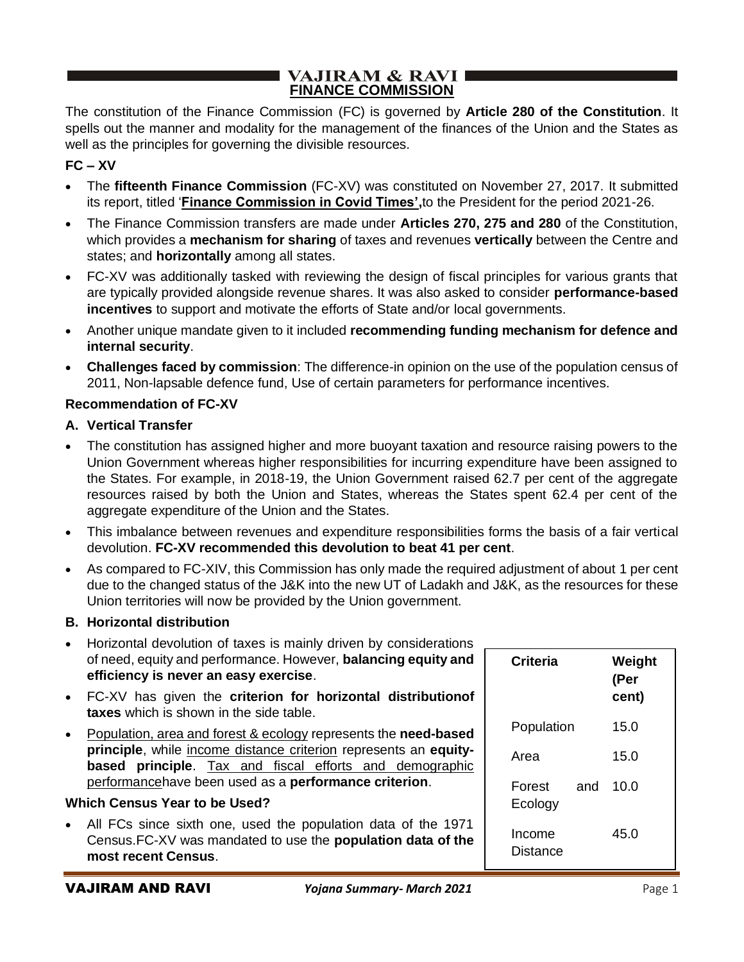### **VAJIRAM & RAVI I FINANCE COMMISSION**

The constitution of the Finance Commission (FC) is governed by **Article 280 of the Constitution**. It spells out the manner and modality for the management of the finances of the Union and the States as well as the principles for governing the divisible resources.

## **FC – XV**

- The **fifteenth Finance Commission** (FC-XV) was constituted on November 27, 2017. It submitted its report, titled '**Finance Commission in Covid Times',**to the President for the period 2021-26.
- The Finance Commission transfers are made under **Articles 270, 275 and 280** of the Constitution, which provides a **mechanism for sharing** of taxes and revenues **vertically** between the Centre and states; and **horizontally** among all states.
- FC-XV was additionally tasked with reviewing the design of fiscal principles for various grants that are typically provided alongside revenue shares. It was also asked to consider **performance-based incentives** to support and motivate the efforts of State and/or local governments.
- Another unique mandate given to it included **recommending funding mechanism for defence and internal security**.
- **Challenges faced by commission**: The difference-in opinion on the use of the population census of 2011, Non-lapsable defence fund, Use of certain parameters for performance incentives.

## **Recommendation of FC-XV**

## **A. Vertical Transfer**

- The constitution has assigned higher and more buoyant taxation and resource raising powers to the Union Government whereas higher responsibilities for incurring expenditure have been assigned to the States. For example, in 2018-19, the Union Government raised 62.7 per cent of the aggregate resources raised by both the Union and States, whereas the States spent 62.4 per cent of the aggregate expenditure of the Union and the States.
- This imbalance between revenues and expenditure responsibilities forms the basis of a fair vertical devolution. **FC-XV recommended this devolution to beat 41 per cent**.
- As compared to FC-XIV, this Commission has only made the required adjustment of about 1 per cent due to the changed status of the J&K into the new UT of Ladakh and J&K, as the resources for these Union territories will now be provided by the Union government.

## **B. Horizontal distribution**

| y driven by considerations<br>ver, balancing equity and<br>horizontal distributionof | <b>Criteria</b>          | Weight<br>(Per<br>cent) |
|--------------------------------------------------------------------------------------|--------------------------|-------------------------|
| epresents the need-based                                                             | Population               | 15.0                    |
| rion represents an equity-<br>efforts and demographic                                | Area                     | 15.0                    |
| ormance criterion.                                                                   | Forest<br>and<br>Ecology | 10.0                    |
| pulation data of the 1971<br>he population data of the                               | Income<br>Distance       | 45.0                    |

Tax and Fiscal

- Horizontal devolution of taxes is mainly of need, equity and performance. Hower **efficiency is never an easy exercise**.
- FC-XV has given the **criterion for taxes** which is shown in the side table.
- **Population, area and forest & ecology represents principle**, while income distance criter **based principle**. Tax and fiscal performancehave been used as a **performance completed**

### **Which Census Year to be Used?**

All FCs since sixth one, used the population Census.FC-XV was mandated to use the **most recent Census**.

2.5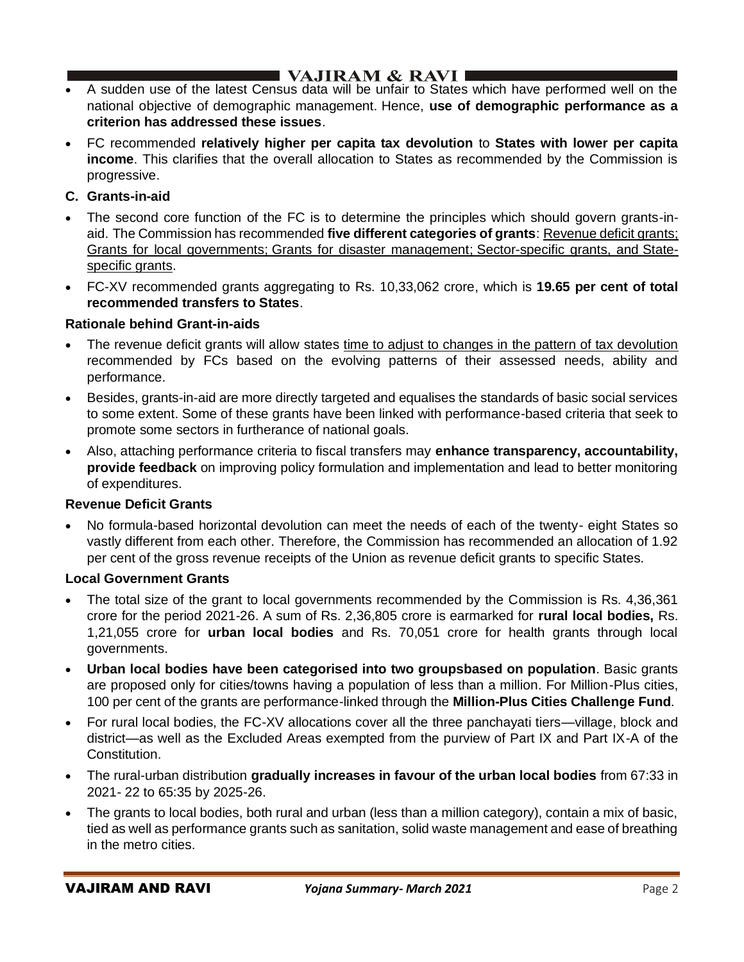- A sudden use of the latest Census data will be unfair to States which have performed well on the national objective of demographic management. Hence, **use of demographic performance as a criterion has addressed these issues**.
- FC recommended **relatively higher per capita tax devolution** to **States with lower per capita income**. This clarifies that the overall allocation to States as recommended by the Commission is progressive.

### **C. Grants-in-aid**

- The second core function of the FC is to determine the principles which should govern grants-inaid. The Commission has recommended **five different categories of grants**: Revenue deficit grants; Grants for local governments; Grants for disaster management; Sector-specific grants, and Statespecific grants.
- FC-XV recommended grants aggregating to Rs. 10,33,062 crore, which is **19.65 per cent of total recommended transfers to States**.

### **Rationale behind Grant-in-aids**

- The revenue deficit grants will allow states time to adjust to changes in the pattern of tax devolution recommended by FCs based on the evolving patterns of their assessed needs, ability and performance.
- Besides, grants-in-aid are more directly targeted and equalises the standards of basic social services to some extent. Some of these grants have been linked with performance-based criteria that seek to promote some sectors in furtherance of national goals.
- Also, attaching performance criteria to fiscal transfers may **enhance transparency, accountability, provide feedback** on improving policy formulation and implementation and lead to better monitoring of expenditures.

### **Revenue Deficit Grants**

• No formula-based horizontal devolution can meet the needs of each of the twenty- eight States so vastly different from each other. Therefore, the Commission has recommended an allocation of 1.92 per cent of the gross revenue receipts of the Union as revenue deficit grants to specific States.

#### **Local Government Grants**

- The total size of the grant to local governments recommended by the Commission is Rs. 4,36,361 crore for the period 2021-26. A sum of Rs. 2,36,805 crore is earmarked for **rural local bodies,** Rs. 1,21,055 crore for **urban local bodies** and Rs. 70,051 crore for health grants through local governments.
- **Urban local bodies have been categorised into two groupsbased on population**. Basic grants are proposed only for cities/towns having a population of less than a million. For Million-Plus cities, 100 per cent of the grants are performance-linked through the **Million-Plus Cities Challenge Fund**.
- For rural local bodies, the FC-XV allocations cover all the three panchayati tiers—village, block and district—as well as the Excluded Areas exempted from the purview of Part IX and Part IX-A of the Constitution.
- The rural-urban distribution **gradually increases in favour of the urban local bodies** from 67:33 in 2021- 22 to 65:35 by 2025-26.
- The grants to local bodies, both rural and urban (less than a million category), contain a mix of basic, tied as well as performance grants such as sanitation, solid waste management and ease of breathing in the metro cities.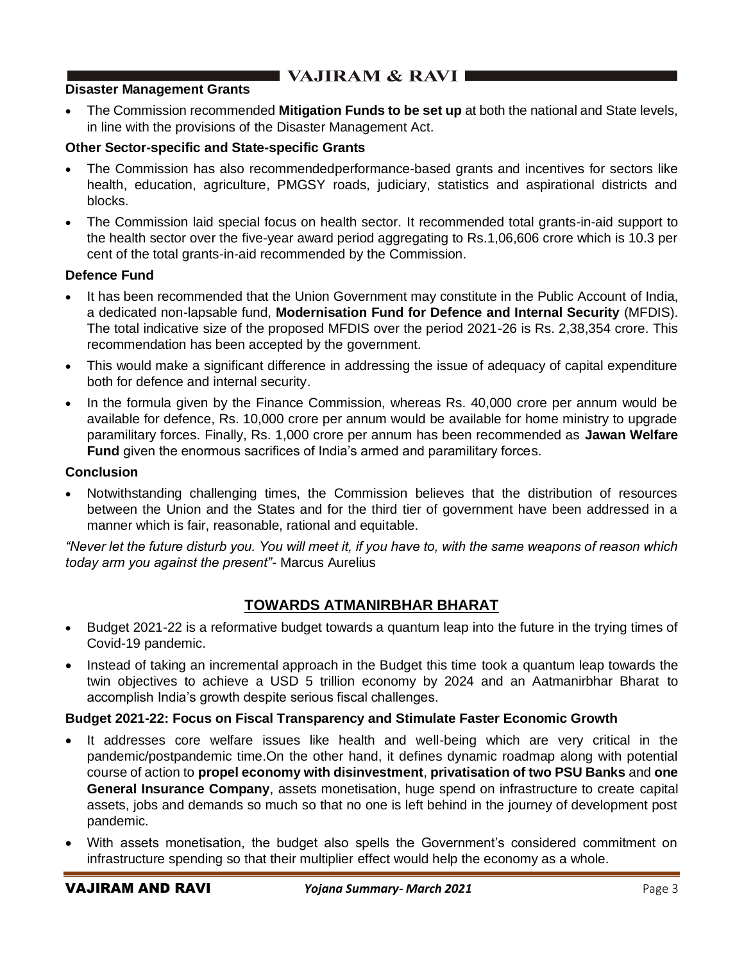### **Disaster Management Grants**

• The Commission recommended **Mitigation Funds to be set up** at both the national and State levels, in line with the provisions of the Disaster Management Act.

### **Other Sector-specific and State-specific Grants**

- The Commission has also recommendedperformance-based grants and incentives for sectors like health, education, agriculture, PMGSY roads, judiciary, statistics and aspirational districts and blocks.
- The Commission laid special focus on health sector. It recommended total grants-in-aid support to the health sector over the five-year award period aggregating to Rs.1,06,606 crore which is 10.3 per cent of the total grants-in-aid recommended by the Commission.

### **Defence Fund**

- It has been recommended that the Union Government may constitute in the Public Account of India, a dedicated non-lapsable fund, **Modernisation Fund for Defence and Internal Security** (MFDIS). The total indicative size of the proposed MFDIS over the period 2021-26 is Rs. 2,38,354 crore. This recommendation has been accepted by the government.
- This would make a significant difference in addressing the issue of adequacy of capital expenditure both for defence and internal security.
- In the formula given by the Finance Commission, whereas Rs. 40,000 crore per annum would be available for defence, Rs. 10,000 crore per annum would be available for home ministry to upgrade paramilitary forces. Finally, Rs. 1,000 crore per annum has been recommended as **Jawan Welfare Fund** given the enormous sacrifices of India's armed and paramilitary forces.

### **Conclusion**

• Notwithstanding challenging times, the Commission believes that the distribution of resources between the Union and the States and for the third tier of government have been addressed in a manner which is fair, reasonable, rational and equitable.

*"Never let the future disturb you. You will meet it, if you have to, with the same weapons of reason which today arm you against the present"*- Marcus Aurelius

## **TOWARDS ATMANIRBHAR BHARAT**

- Budget 2021-22 is a reformative budget towards a quantum leap into the future in the trying times of Covid-19 pandemic.
- Instead of taking an incremental approach in the Budget this time took a quantum leap towards the twin objectives to achieve a USD 5 trillion economy by 2024 and an Aatmanirbhar Bharat to accomplish India's growth despite serious fiscal challenges.

### **Budget 2021-22: Focus on Fiscal Transparency and Stimulate Faster Economic Growth**

- It addresses core welfare issues like health and well-being which are very critical in the pandemic/postpandemic time.On the other hand, it defines dynamic roadmap along with potential course of action to **propel economy with disinvestment**, **privatisation of two PSU Banks** and **one General Insurance Company**, assets monetisation, huge spend on infrastructure to create capital assets, jobs and demands so much so that no one is left behind in the journey of development post pandemic.
- With assets monetisation, the budget also spells the Government's considered commitment on infrastructure spending so that their multiplier effect would help the economy as a whole.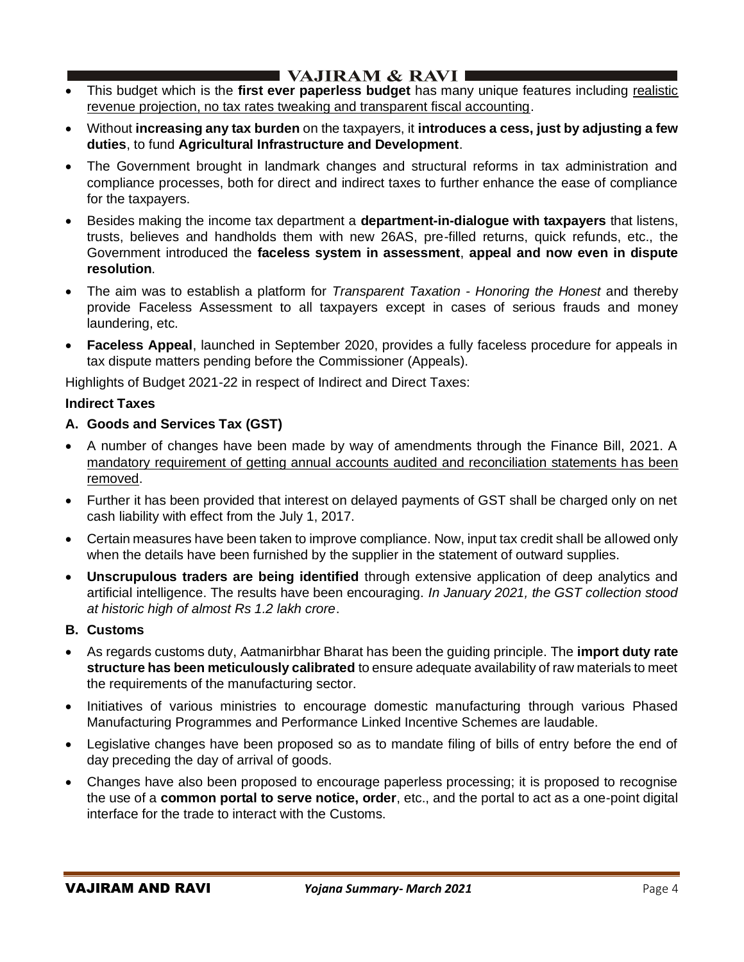- This budget which is the **first ever paperless budget** has many unique features including realistic revenue projection, no tax rates tweaking and transparent fiscal accounting.
- Without **increasing any tax burden** on the taxpayers, it **introduces a cess, just by adjusting a few duties**, to fund **Agricultural Infrastructure and Development**.
- The Government brought in landmark changes and structural reforms in tax administration and compliance processes, both for direct and indirect taxes to further enhance the ease of compliance for the taxpayers.
- Besides making the income tax department a **department-in-dialogue with taxpayers** that listens, trusts, believes and handholds them with new 26AS, pre-filled returns, quick refunds, etc., the Government introduced the **faceless system in assessment**, **appeal and now even in dispute resolution**.
- The aim was to establish a platform for *Transparent Taxation - Honoring the Honest* and thereby provide Faceless Assessment to all taxpayers except in cases of serious frauds and money laundering, etc.
- **Faceless Appeal**, launched in September 2020, provides a fully faceless procedure for appeals in tax dispute matters pending before the Commissioner (Appeals).

Highlights of Budget 2021-22 in respect of Indirect and Direct Taxes:

### **Indirect Taxes**

### **A. Goods and Services Tax (GST)**

- A number of changes have been made by way of amendments through the Finance Bill, 2021. A mandatory requirement of getting annual accounts audited and reconciliation statements has been removed.
- Further it has been provided that interest on delayed payments of GST shall be charged only on net cash liability with effect from the July 1, 2017.
- Certain measures have been taken to improve compliance. Now, input tax credit shall be allowed only when the details have been furnished by the supplier in the statement of outward supplies.
- **Unscrupulous traders are being identified** through extensive application of deep analytics and artificial intelligence. The results have been encouraging. *In January 2021, the GST collection stood at historic high of almost Rs 1.2 lakh crore*.

## **B. Customs**

- As regards customs duty, Aatmanirbhar Bharat has been the guiding principle. The **import duty rate structure has been meticulously calibrated** to ensure adequate availability of raw materials to meet the requirements of the manufacturing sector.
- Initiatives of various ministries to encourage domestic manufacturing through various Phased Manufacturing Programmes and Performance Linked Incentive Schemes are laudable.
- Legislative changes have been proposed so as to mandate filing of bills of entry before the end of day preceding the day of arrival of goods.
- Changes have also been proposed to encourage paperless processing; it is proposed to recognise the use of a **common portal to serve notice, order**, etc., and the portal to act as a one-point digital interface for the trade to interact with the Customs.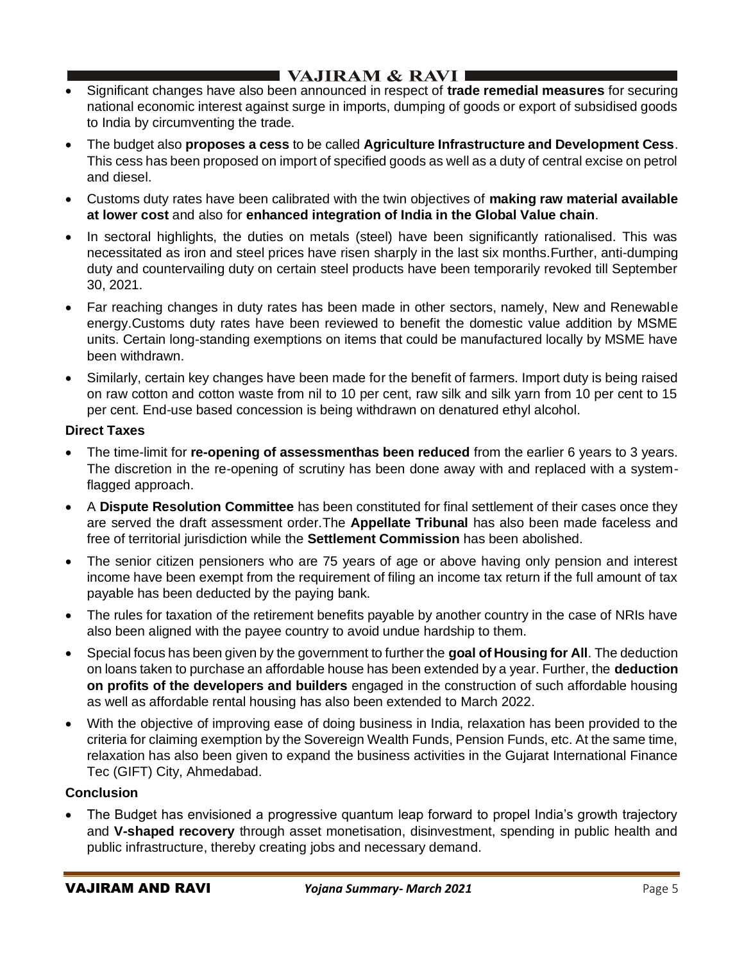- Significant changes have also been announced in respect of **trade remedial measures** for securing national economic interest against surge in imports, dumping of goods or export of subsidised goods to India by circumventing the trade.
- The budget also **proposes a cess** to be called **Agriculture Infrastructure and Development Cess**. This cess has been proposed on import of specified goods as well as a duty of central excise on petrol and diesel.
- Customs duty rates have been calibrated with the twin objectives of **making raw material available at lower cost** and also for **enhanced integration of India in the Global Value chain**.
- In sectoral highlights, the duties on metals (steel) have been significantly rationalised. This was necessitated as iron and steel prices have risen sharply in the last six months.Further, anti-dumping duty and countervailing duty on certain steel products have been temporarily revoked till September 30, 2021.
- Far reaching changes in duty rates has been made in other sectors, namely, New and Renewable energy.Customs duty rates have been reviewed to benefit the domestic value addition by MSME units. Certain long-standing exemptions on items that could be manufactured locally by MSME have been withdrawn.
- Similarly, certain key changes have been made for the benefit of farmers. Import duty is being raised on raw cotton and cotton waste from nil to 10 per cent, raw silk and silk yarn from 10 per cent to 15 per cent. End-use based concession is being withdrawn on denatured ethyl alcohol.

### **Direct Taxes**

- The time-limit for **re-opening of assessmenthas been reduced** from the earlier 6 years to 3 years. The discretion in the re-opening of scrutiny has been done away with and replaced with a systemflagged approach.
- A **Dispute Resolution Committee** has been constituted for final settlement of their cases once they are served the draft assessment order.The **Appellate Tribunal** has also been made faceless and free of territorial jurisdiction while the **Settlement Commission** has been abolished.
- The senior citizen pensioners who are 75 years of age or above having only pension and interest income have been exempt from the requirement of filing an income tax return if the full amount of tax payable has been deducted by the paying bank.
- The rules for taxation of the retirement benefits payable by another country in the case of NRIs have also been aligned with the payee country to avoid undue hardship to them.
- Special focus has been given by the government to further the **goal of Housing for All**. The deduction on loans taken to purchase an affordable house has been extended by a year. Further, the **deduction on profits of the developers and builders** engaged in the construction of such affordable housing as well as affordable rental housing has also been extended to March 2022.
- With the objective of improving ease of doing business in India, relaxation has been provided to the criteria for claiming exemption by the Sovereign Wealth Funds, Pension Funds, etc. At the same time, relaxation has also been given to expand the business activities in the Gujarat International Finance Tec (GIFT) City, Ahmedabad.

## **Conclusion**

• The Budget has envisioned a progressive quantum leap forward to propel India's growth trajectory and **V-shaped recovery** through asset monetisation, disinvestment, spending in public health and public infrastructure, thereby creating jobs and necessary demand.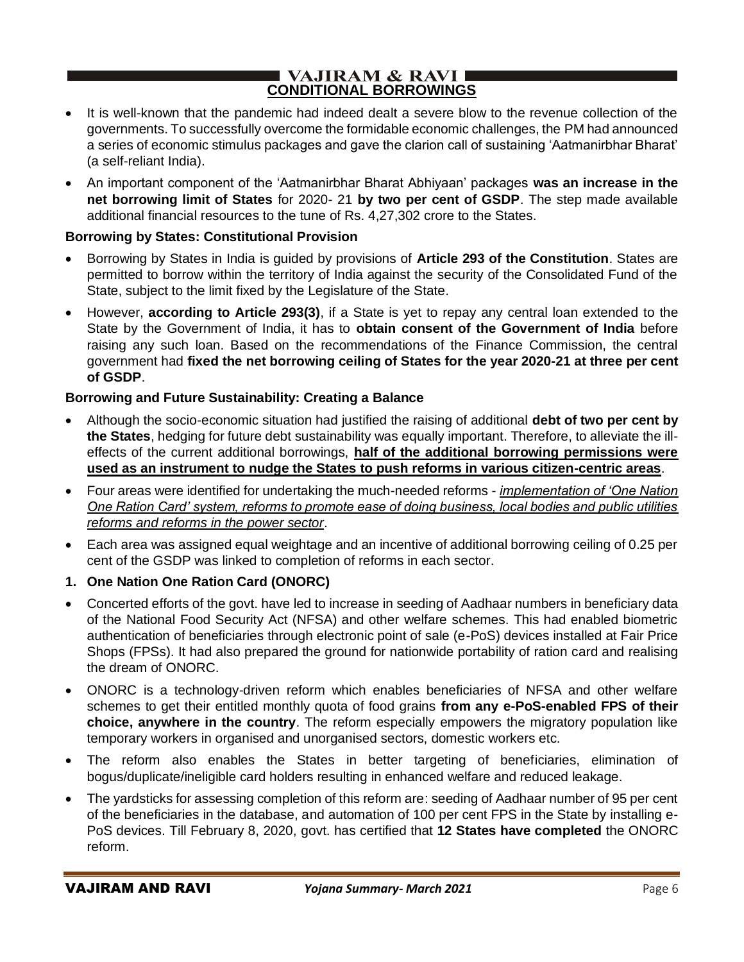### VAJIRAM & RAVI **CONDITIONAL BORROWINGS**

- It is well-known that the pandemic had indeed dealt a severe blow to the revenue collection of the governments. To successfully overcome the formidable economic challenges, the PM had announced a series of economic stimulus packages and gave the clarion call of sustaining 'Aatmanirbhar Bharat' (a self-reliant India).
- An important component of the 'Aatmanirbhar Bharat Abhiyaan' packages **was an increase in the net borrowing limit of States** for 2020- 21 **by two per cent of GSDP**. The step made available additional financial resources to the tune of Rs. 4,27,302 crore to the States.

#### **Borrowing by States: Constitutional Provision**

- Borrowing by States in India is guided by provisions of **Article 293 of the Constitution**. States are permitted to borrow within the territory of India against the security of the Consolidated Fund of the State, subject to the limit fixed by the Legislature of the State.
- However, **according to Article 293(3)**, if a State is yet to repay any central loan extended to the State by the Government of India, it has to **obtain consent of the Government of India** before raising any such loan. Based on the recommendations of the Finance Commission, the central government had **fixed the net borrowing ceiling of States for the year 2020-21 at three per cent of GSDP**.

#### **Borrowing and Future Sustainability: Creating a Balance**

- Although the socio-economic situation had justified the raising of additional **debt of two per cent by the States**, hedging for future debt sustainability was equally important. Therefore, to alleviate the illeffects of the current additional borrowings, **half of the additional borrowing permissions were used as an instrument to nudge the States to push reforms in various citizen-centric areas**.
- Four areas were identified for undertaking the much-needed reforms *implementation of 'One Nation One Ration Card' system, reforms to promote ease of doing business, local bodies and public utilities reforms and reforms in the power sector*.
- Each area was assigned equal weightage and an incentive of additional borrowing ceiling of 0.25 per cent of the GSDP was linked to completion of reforms in each sector.
- **1. One Nation One Ration Card (ONORC)**
- Concerted efforts of the govt. have led to increase in seeding of Aadhaar numbers in beneficiary data of the National Food Security Act (NFSA) and other welfare schemes. This had enabled biometric authentication of beneficiaries through electronic point of sale (e-PoS) devices installed at Fair Price Shops (FPSs). It had also prepared the ground for nationwide portability of ration card and realising the dream of ONORC.
- ONORC is a technology-driven reform which enables beneficiaries of NFSA and other welfare schemes to get their entitled monthly quota of food grains **from any e-PoS-enabled FPS of their choice, anywhere in the country**. The reform especially empowers the migratory population like temporary workers in organised and unorganised sectors, domestic workers etc.
- The reform also enables the States in better targeting of beneficiaries, elimination of bogus/duplicate/ineligible card holders resulting in enhanced welfare and reduced leakage.
- The yardsticks for assessing completion of this reform are: seeding of Aadhaar number of 95 per cent of the beneficiaries in the database, and automation of 100 per cent FPS in the State by installing e-PoS devices. Till February 8, 2020, govt. has certified that **12 States have completed** the ONORC reform.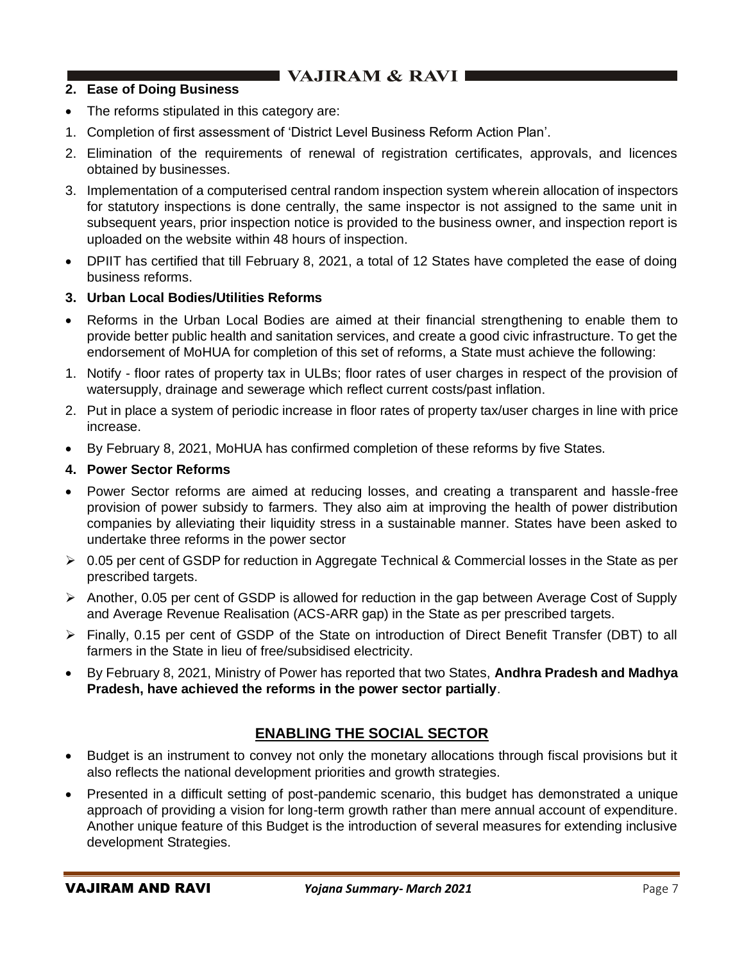### **2. Ease of Doing Business**

- The reforms stipulated in this category are:
- 1. Completion of first assessment of 'District Level Business Reform Action Plan'.
- 2. Elimination of the requirements of renewal of registration certificates, approvals, and licences obtained by businesses.
- 3. Implementation of a computerised central random inspection system wherein allocation of inspectors for statutory inspections is done centrally, the same inspector is not assigned to the same unit in subsequent years, prior inspection notice is provided to the business owner, and inspection report is uploaded on the website within 48 hours of inspection.
- DPIIT has certified that till February 8, 2021, a total of 12 States have completed the ease of doing business reforms.

### **3. Urban Local Bodies/Utilities Reforms**

- Reforms in the Urban Local Bodies are aimed at their financial strengthening to enable them to provide better public health and sanitation services, and create a good civic infrastructure. To get the endorsement of MoHUA for completion of this set of reforms, a State must achieve the following:
- 1. Notify floor rates of property tax in ULBs; floor rates of user charges in respect of the provision of watersupply, drainage and sewerage which reflect current costs/past inflation.
- 2. Put in place a system of periodic increase in floor rates of property tax/user charges in line with price increase.
- By February 8, 2021, MoHUA has confirmed completion of these reforms by five States.

### **4. Power Sector Reforms**

- Power Sector reforms are aimed at reducing losses, and creating a transparent and hassle-free provision of power subsidy to farmers. They also aim at improving the health of power distribution companies by alleviating their liquidity stress in a sustainable manner. States have been asked to undertake three reforms in the power sector
- ➢ 0.05 per cent of GSDP for reduction in Aggregate Technical & Commercial losses in the State as per prescribed targets.
- ➢ Another, 0.05 per cent of GSDP is allowed for reduction in the gap between Average Cost of Supply and Average Revenue Realisation (ACS-ARR gap) in the State as per prescribed targets.
- ➢ Finally, 0.15 per cent of GSDP of the State on introduction of Direct Benefit Transfer (DBT) to all farmers in the State in lieu of free/subsidised electricity.
- By February 8, 2021, Ministry of Power has reported that two States, **Andhra Pradesh and Madhya Pradesh, have achieved the reforms in the power sector partially**.

# **ENABLING THE SOCIAL SECTOR**

- Budget is an instrument to convey not only the monetary allocations through fiscal provisions but it also reflects the national development priorities and growth strategies.
- Presented in a difficult setting of post-pandemic scenario, this budget has demonstrated a unique approach of providing a vision for long-term growth rather than mere annual account of expenditure. Another unique feature of this Budget is the introduction of several measures for extending inclusive development Strategies.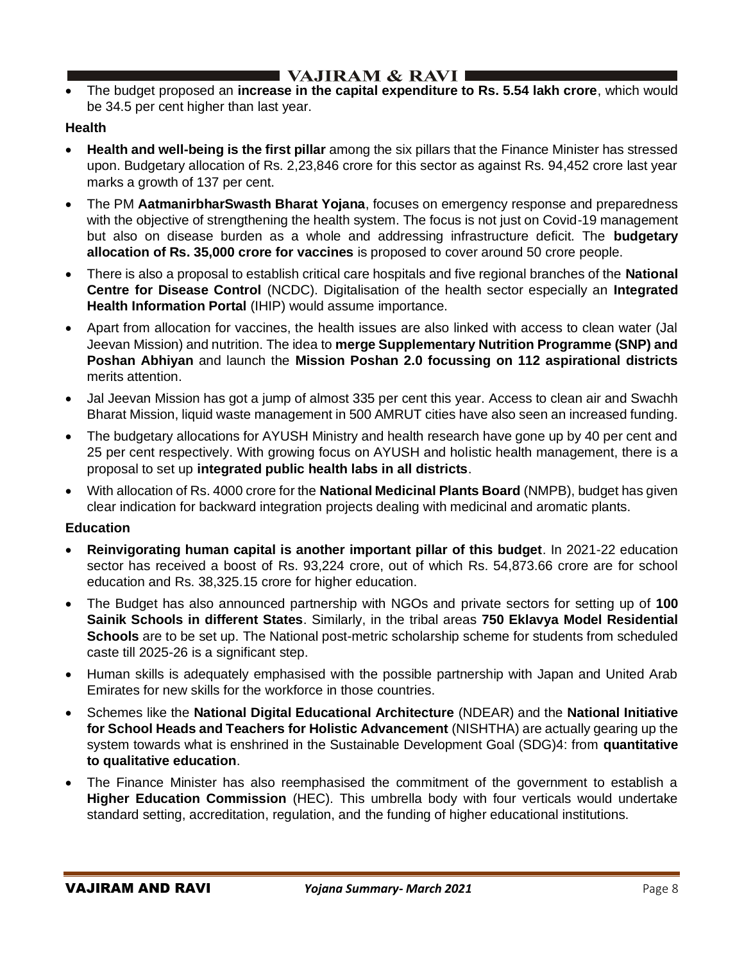## I VAJIRAM & RAVI ∎

• The budget proposed an **increase in the capital expenditure to Rs. 5.54 lakh crore**, which would be 34.5 per cent higher than last year.

### **Health**

- **Health and well-being is the first pillar** among the six pillars that the Finance Minister has stressed upon. Budgetary allocation of Rs. 2,23,846 crore for this sector as against Rs. 94,452 crore last year marks a growth of 137 per cent.
- The PM **AatmanirbharSwasth Bharat Yojana**, focuses on emergency response and preparedness with the objective of strengthening the health system. The focus is not just on Covid-19 management but also on disease burden as a whole and addressing infrastructure deficit. The **budgetary allocation of Rs. 35,000 crore for vaccines** is proposed to cover around 50 crore people.
- There is also a proposal to establish critical care hospitals and five regional branches of the **National Centre for Disease Control** (NCDC). Digitalisation of the health sector especially an **Integrated Health Information Portal** (IHIP) would assume importance.
- Apart from allocation for vaccines, the health issues are also linked with access to clean water (Jal Jeevan Mission) and nutrition. The idea to **merge Supplementary Nutrition Programme (SNP) and Poshan Abhiyan** and launch the **Mission Poshan 2.0 focussing on 112 aspirational districts** merits attention.
- Jal Jeevan Mission has got a jump of almost 335 per cent this year. Access to clean air and Swachh Bharat Mission, liquid waste management in 500 AMRUT cities have also seen an increased funding.
- The budgetary allocations for AYUSH Ministry and health research have gone up by 40 per cent and 25 per cent respectively. With growing focus on AYUSH and holistic health management, there is a proposal to set up **integrated public health labs in all districts**.
- With allocation of Rs. 4000 crore for the **National Medicinal Plants Board** (NMPB), budget has given clear indication for backward integration projects dealing with medicinal and aromatic plants.

### **Education**

- **Reinvigorating human capital is another important pillar of this budget**. In 2021-22 education sector has received a boost of Rs. 93,224 crore, out of which Rs. 54,873.66 crore are for school education and Rs. 38,325.15 crore for higher education.
- The Budget has also announced partnership with NGOs and private sectors for setting up of **100 Sainik Schools in different States**. Similarly, in the tribal areas **750 Eklavya Model Residential Schools** are to be set up. The National post-metric scholarship scheme for students from scheduled caste till 2025-26 is a significant step.
- Human skills is adequately emphasised with the possible partnership with Japan and United Arab Emirates for new skills for the workforce in those countries.
- Schemes like the **National Digital Educational Architecture** (NDEAR) and the **National Initiative for School Heads and Teachers for Holistic Advancement** (NISHTHA) are actually gearing up the system towards what is enshrined in the Sustainable Development Goal (SDG)4: from **quantitative to qualitative education**.
- The Finance Minister has also reemphasised the commitment of the government to establish a **Higher Education Commission** (HEC). This umbrella body with four verticals would undertake standard setting, accreditation, regulation, and the funding of higher educational institutions.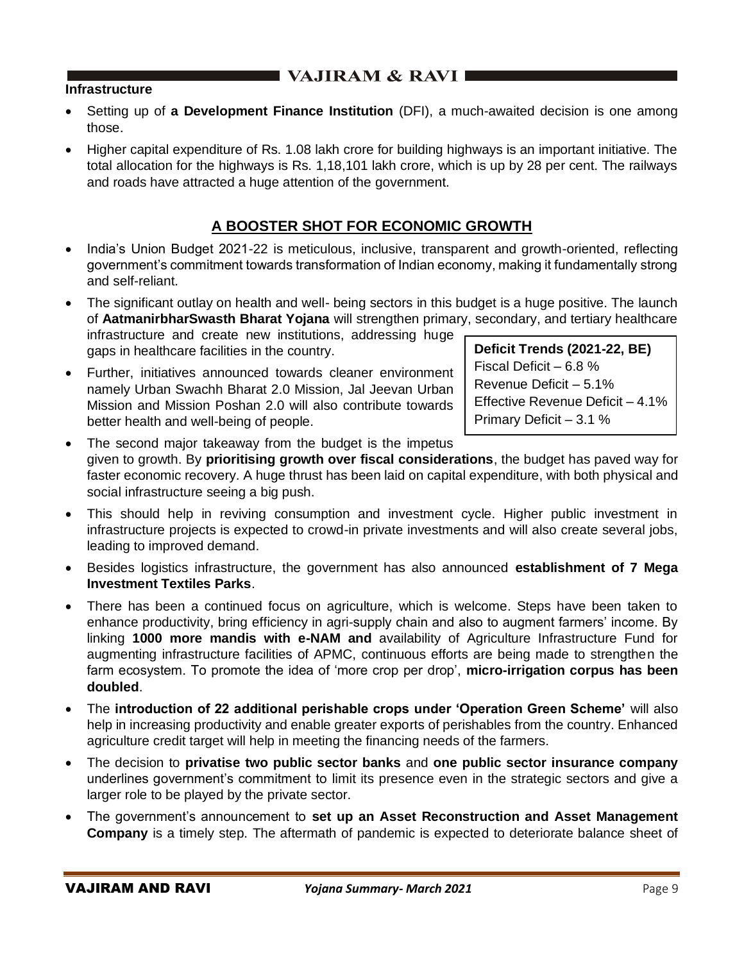#### **Infrastructure**

- Setting up of **a Development Finance Institution** (DFI), a much-awaited decision is one among those.
- Higher capital expenditure of Rs. 1.08 lakh crore for building highways is an important initiative. The total allocation for the highways is Rs. 1,18,101 lakh crore, which is up by 28 per cent. The railways and roads have attracted a huge attention of the government.

## **A BOOSTER SHOT FOR ECONOMIC GROWTH**

- India's Union Budget 2021-22 is meticulous, inclusive, transparent and growth-oriented, reflecting government's commitment towards transformation of Indian economy, making it fundamentally strong and self-reliant.
- The significant outlay on health and well- being sectors in this budget is a huge positive. The launch of **AatmanirbharSwasth Bharat Yojana** will strengthen primary, secondary, and tertiary healthcare infrastructure and create new institutions, addressing huge gaps in healthcare facilities in the country. **Deficit Trends (2021-22, BE)**
- Further, initiatives announced towards cleaner environment namely Urban Swachh Bharat 2.0 Mission, Jal Jeevan Urban Mission and Mission Poshan 2.0 will also contribute towards better health and well-being of people.

Fiscal Deficit – 6.8 % Revenue Deficit – 5.1% Effective Revenue Deficit – 4.1% Primary Deficit – 3.1 %

- The second major takeaway from the budget is the impetus given to growth. By **prioritising growth over fiscal considerations**, the budget has paved way for faster economic recovery. A huge thrust has been laid on capital expenditure, with both physical and social infrastructure seeing a big push.
- This should help in reviving consumption and investment cycle. Higher public investment in infrastructure projects is expected to crowd-in private investments and will also create several jobs, leading to improved demand.
- Besides logistics infrastructure, the government has also announced **establishment of 7 Mega Investment Textiles Parks**.
- There has been a continued focus on agriculture, which is welcome. Steps have been taken to enhance productivity, bring efficiency in agri-supply chain and also to augment farmers' income. By linking **1000 more mandis with e-NAM and** availability of Agriculture Infrastructure Fund for augmenting infrastructure facilities of APMC, continuous efforts are being made to strengthen the farm ecosystem. To promote the idea of 'more crop per drop', **micro-irrigation corpus has been doubled**.
- The **introduction of 22 additional perishable crops under 'Operation Green Scheme'** will also help in increasing productivity and enable greater exports of perishables from the country. Enhanced agriculture credit target will help in meeting the financing needs of the farmers.
- The decision to **privatise two public sector banks** and **one public sector insurance company** underlines government's commitment to limit its presence even in the strategic sectors and give a larger role to be played by the private sector.
- The government's announcement to **set up an Asset Reconstruction and Asset Management Company** is a timely step. The aftermath of pandemic is expected to deteriorate balance sheet of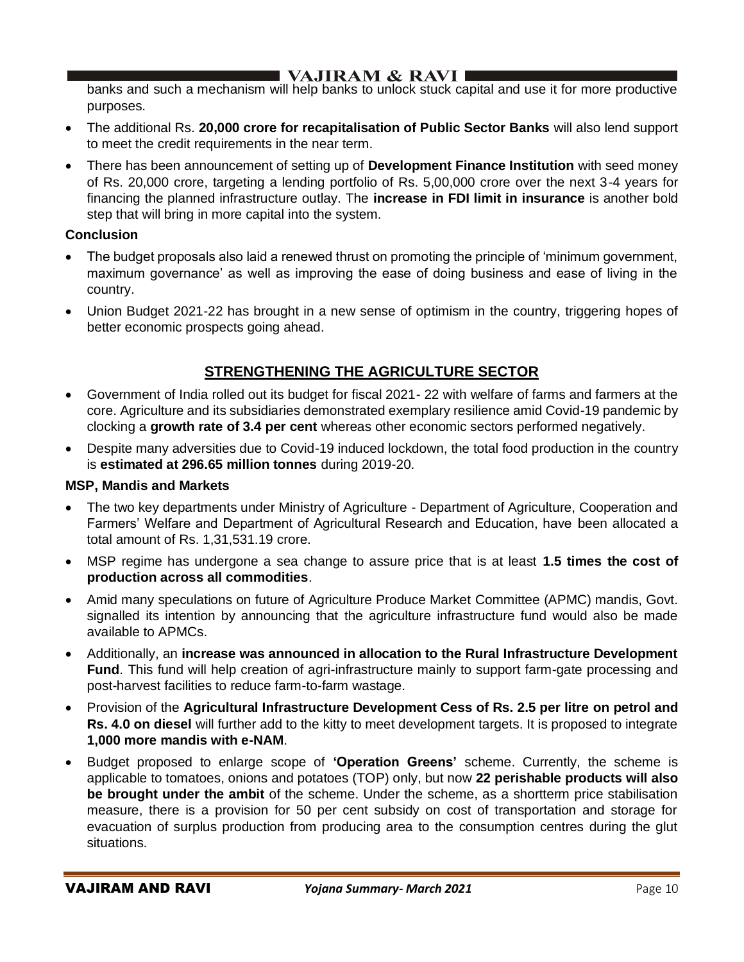banks and such a mechanism will help banks to unlock stuck capital and use it for more productive purposes.

- The additional Rs. **20,000 crore for recapitalisation of Public Sector Banks** will also lend support to meet the credit requirements in the near term.
- There has been announcement of setting up of **Development Finance Institution** with seed money of Rs. 20,000 crore, targeting a lending portfolio of Rs. 5,00,000 crore over the next 3-4 years for financing the planned infrastructure outlay. The **increase in FDI limit in insurance** is another bold step that will bring in more capital into the system.

### **Conclusion**

- The budget proposals also laid a renewed thrust on promoting the principle of 'minimum government, maximum governance' as well as improving the ease of doing business and ease of living in the country.
- Union Budget 2021-22 has brought in a new sense of optimism in the country, triggering hopes of better economic prospects going ahead.

# **STRENGTHENING THE AGRICULTURE SECTOR**

- Government of India rolled out its budget for fiscal 2021- 22 with welfare of farms and farmers at the core. Agriculture and its subsidiaries demonstrated exemplary resilience amid Covid-19 pandemic by clocking a **growth rate of 3.4 per cent** whereas other economic sectors performed negatively.
- Despite many adversities due to Covid-19 induced lockdown, the total food production in the country is **estimated at 296.65 million tonnes** during 2019-20.

### **MSP, Mandis and Markets**

- The two key departments under Ministry of Agriculture Department of Agriculture, Cooperation and Farmers' Welfare and Department of Agricultural Research and Education, have been allocated a total amount of Rs. 1,31,531.19 crore.
- MSP regime has undergone a sea change to assure price that is at least **1.5 times the cost of production across all commodities**.
- Amid many speculations on future of Agriculture Produce Market Committee (APMC) mandis, Govt. signalled its intention by announcing that the agriculture infrastructure fund would also be made available to APMCs.
- Additionally, an **increase was announced in allocation to the Rural Infrastructure Development Fund**. This fund will help creation of agri-infrastructure mainly to support farm-gate processing and post-harvest facilities to reduce farm-to-farm wastage.
- Provision of the **Agricultural Infrastructure Development Cess of Rs. 2.5 per litre on petrol and Rs. 4.0 on diesel** will further add to the kitty to meet development targets. It is proposed to integrate **1,000 more mandis with e-NAM**.
- Budget proposed to enlarge scope of **'Operation Greens'** scheme. Currently, the scheme is applicable to tomatoes, onions and potatoes (TOP) only, but now **22 perishable products will also be brought under the ambit** of the scheme. Under the scheme, as a shortterm price stabilisation measure, there is a provision for 50 per cent subsidy on cost of transportation and storage for evacuation of surplus production from producing area to the consumption centres during the glut situations.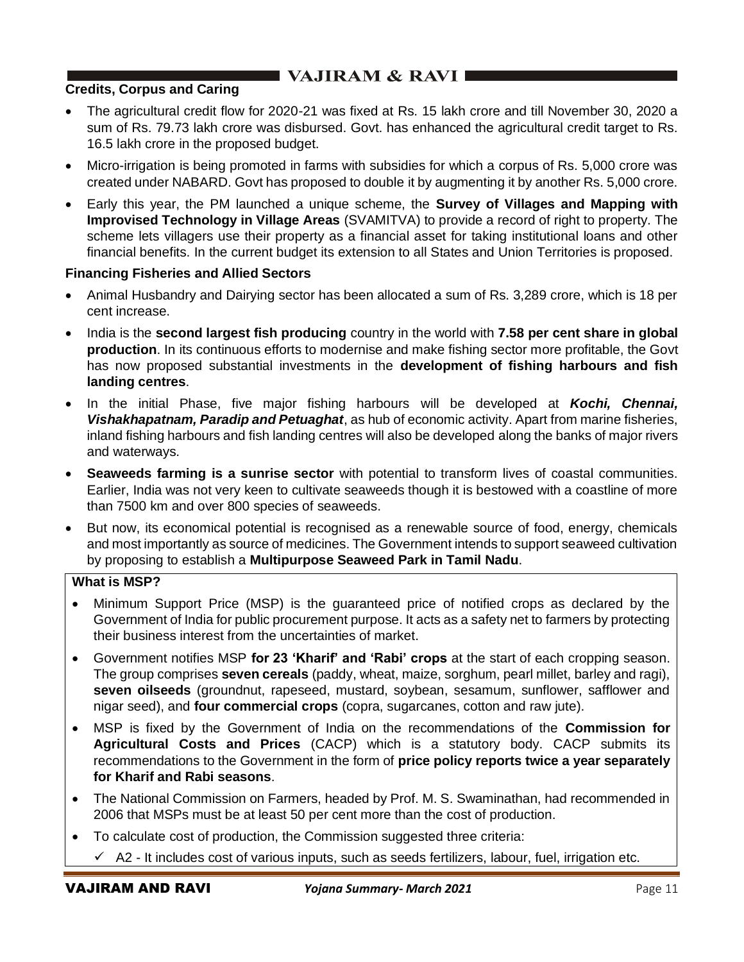## **Credits, Corpus and Caring**

- The agricultural credit flow for 2020-21 was fixed at Rs. 15 lakh crore and till November 30, 2020 a sum of Rs. 79.73 lakh crore was disbursed. Govt. has enhanced the agricultural credit target to Rs. 16.5 lakh crore in the proposed budget.
- Micro-irrigation is being promoted in farms with subsidies for which a corpus of Rs. 5,000 crore was created under NABARD. Govt has proposed to double it by augmenting it by another Rs. 5,000 crore.
- Early this year, the PM launched a unique scheme, the **Survey of Villages and Mapping with Improvised Technology in Village Areas** (SVAMITVA) to provide a record of right to property. The scheme lets villagers use their property as a financial asset for taking institutional loans and other financial benefits. In the current budget its extension to all States and Union Territories is proposed.

### **Financing Fisheries and Allied Sectors**

- Animal Husbandry and Dairying sector has been allocated a sum of Rs. 3,289 crore, which is 18 per cent increase.
- India is the **second largest fish producing** country in the world with **7.58 per cent share in global production**. In its continuous efforts to modernise and make fishing sector more profitable, the Govt has now proposed substantial investments in the **development of fishing harbours and fish landing centres**.
- In the initial Phase, five major fishing harbours will be developed at *Kochi, Chennai, Vishakhapatnam, Paradip and Petuaghat*, as hub of economic activity. Apart from marine fisheries, inland fishing harbours and fish landing centres will also be developed along the banks of major rivers and waterways.
- **Seaweeds farming is a sunrise sector** with potential to transform lives of coastal communities. Earlier, India was not very keen to cultivate seaweeds though it is bestowed with a coastline of more than 7500 km and over 800 species of seaweeds.
- But now, its economical potential is recognised as a renewable source of food, energy, chemicals and most importantly as source of medicines. The Government intends to support seaweed cultivation by proposing to establish a **Multipurpose Seaweed Park in Tamil Nadu**.

## **What is MSP?**

- Minimum Support Price (MSP) is the guaranteed price of notified crops as declared by the Government of India for public procurement purpose. It acts as a safety net to farmers by protecting their business interest from the uncertainties of market.
- Government notifies MSP **for 23 'Kharif' and 'Rabi' crops** at the start of each cropping season. The group comprises **seven cereals** (paddy, wheat, maize, sorghum, pearl millet, barley and ragi), **seven oilseeds** (groundnut, rapeseed, mustard, soybean, sesamum, sunflower, safflower and nigar seed), and **four commercial crops** (copra, sugarcanes, cotton and raw jute).
- MSP is fixed by the Government of India on the recommendations of the **Commission for Agricultural Costs and Prices** (CACP) which is a statutory body. CACP submits its recommendations to the Government in the form of **price policy reports twice a year separately for Kharif and Rabi seasons**.
- The National Commission on Farmers, headed by Prof. M. S. Swaminathan, had recommended in 2006 that MSPs must be at least 50 per cent more than the cost of production.
- To calculate cost of production, the Commission suggested three criteria:
	- $\checkmark$  A2 It includes cost of various inputs, such as seeds fertilizers, labour, fuel, irrigation etc.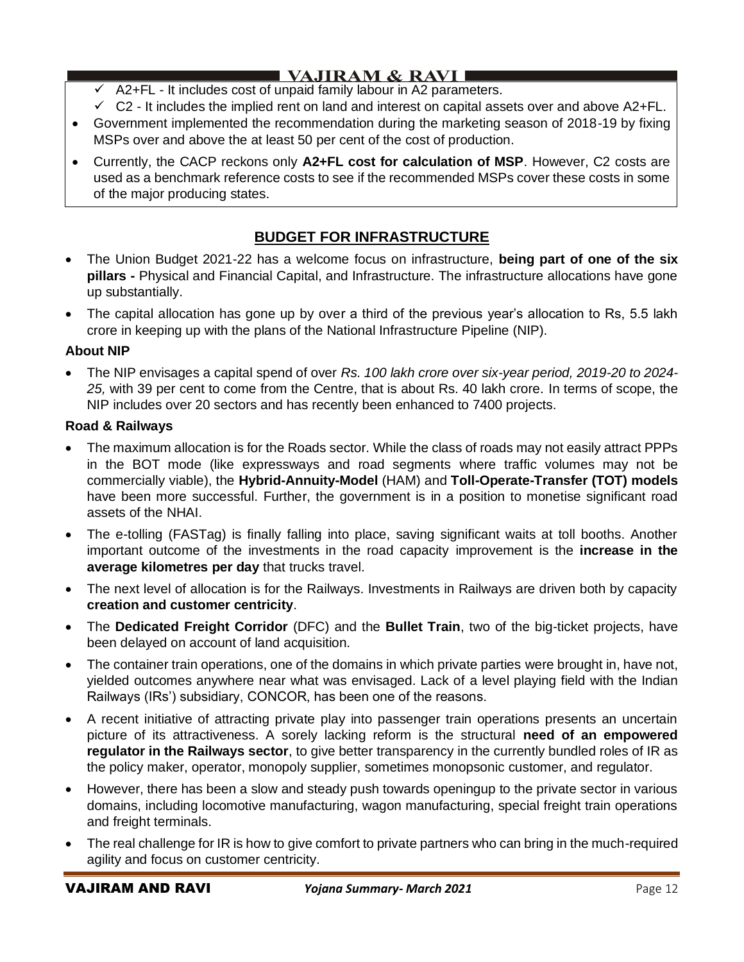# I VAJIRAM & RAVI ■

- $\overline{\smash{\leftarrow}}$  A2+FL It includes cost of unpaid family labour in A2 parameters.
- $\checkmark$  C2 It includes the implied rent on land and interest on capital assets over and above A2+FL.
- Government implemented the recommendation during the marketing season of 2018-19 by fixing MSPs over and above the at least 50 per cent of the cost of production.
- Currently, the CACP reckons only **A2+FL cost for calculation of MSP**. However, C2 costs are used as a benchmark reference costs to see if the recommended MSPs cover these costs in some of the major producing states.

## **BUDGET FOR INFRASTRUCTURE**

- The Union Budget 2021-22 has a welcome focus on infrastructure, **being part of one of the six pillars -** Physical and Financial Capital, and Infrastructure. The infrastructure allocations have gone up substantially.
- The capital allocation has gone up by over a third of the previous year's allocation to Rs, 5.5 lakh crore in keeping up with the plans of the National Infrastructure Pipeline (NIP).

### **About NIP**

• The NIP envisages a capital spend of over *Rs. 100 lakh crore over six-year period, 2019-20 to 2024- 25,* with 39 per cent to come from the Centre, that is about Rs. 40 lakh crore. In terms of scope, the NIP includes over 20 sectors and has recently been enhanced to 7400 projects.

### **Road & Railways**

- The maximum allocation is for the Roads sector. While the class of roads may not easily attract PPPs in the BOT mode (like expressways and road segments where traffic volumes may not be commercially viable), the **Hybrid-Annuity-Model** (HAM) and **Toll-Operate-Transfer (TOT) models** have been more successful. Further, the government is in a position to monetise significant road assets of the NHAI.
- The e-tolling (FASTag) is finally falling into place, saving significant waits at toll booths. Another important outcome of the investments in the road capacity improvement is the **increase in the average kilometres per day** that trucks travel.
- The next level of allocation is for the Railways. Investments in Railways are driven both by capacity **creation and customer centricity**.
- The **Dedicated Freight Corridor** (DFC) and the **Bullet Train**, two of the big-ticket projects, have been delayed on account of land acquisition.
- The container train operations, one of the domains in which private parties were brought in, have not, yielded outcomes anywhere near what was envisaged. Lack of a level playing field with the Indian Railways (IRs') subsidiary, CONCOR, has been one of the reasons.
- A recent initiative of attracting private play into passenger train operations presents an uncertain picture of its attractiveness. A sorely lacking reform is the structural **need of an empowered regulator in the Railways sector**, to give better transparency in the currently bundled roles of IR as the policy maker, operator, monopoly supplier, sometimes monopsonic customer, and regulator.
- However, there has been a slow and steady push towards openingup to the private sector in various domains, including locomotive manufacturing, wagon manufacturing, special freight train operations and freight terminals.
- The real challenge for IR is how to give comfort to private partners who can bring in the much-required agility and focus on customer centricity.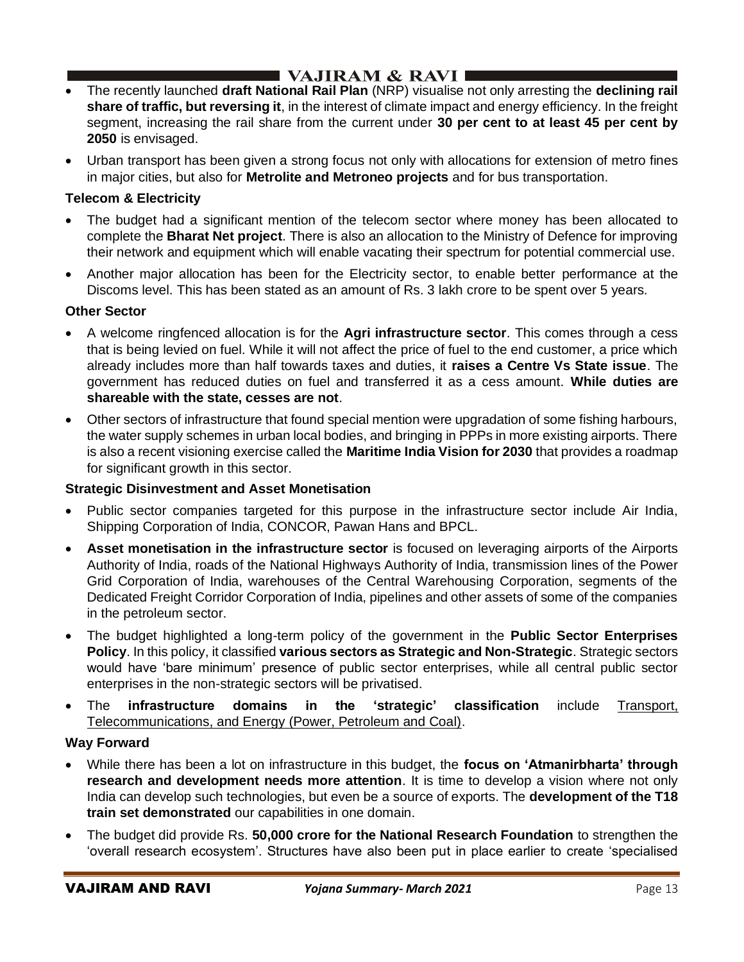# $\blacksquare$  VAJIRAM & RAVI

- The recently launched **draft National Rail Plan** (NRP) visualise not only arresting the **declining rail share of traffic, but reversing it**, in the interest of climate impact and energy efficiency. In the freight segment, increasing the rail share from the current under **30 per cent to at least 45 per cent by 2050** is envisaged.
- Urban transport has been given a strong focus not only with allocations for extension of metro fines in major cities, but also for **Metrolite and Metroneo projects** and for bus transportation.

### **Telecom & Electricity**

- The budget had a significant mention of the telecom sector where money has been allocated to complete the **Bharat Net project**. There is also an allocation to the Ministry of Defence for improving their network and equipment which will enable vacating their spectrum for potential commercial use.
- Another major allocation has been for the Electricity sector, to enable better performance at the Discoms level. This has been stated as an amount of Rs. 3 lakh crore to be spent over 5 years.

### **Other Sector**

- A welcome ringfenced allocation is for the **Agri infrastructure sector**. This comes through a cess that is being levied on fuel. While it will not affect the price of fuel to the end customer, a price which already includes more than half towards taxes and duties, it **raises a Centre Vs State issue**. The government has reduced duties on fuel and transferred it as a cess amount. **While duties are shareable with the state, cesses are not**.
- Other sectors of infrastructure that found special mention were upgradation of some fishing harbours, the water supply schemes in urban local bodies, and bringing in PPPs in more existing airports. There is also a recent visioning exercise called the **Maritime India Vision for 2030** that provides a roadmap for significant growth in this sector.

### **Strategic Disinvestment and Asset Monetisation**

- Public sector companies targeted for this purpose in the infrastructure sector include Air India, Shipping Corporation of India, CONCOR, Pawan Hans and BPCL.
- **Asset monetisation in the infrastructure sector** is focused on leveraging airports of the Airports Authority of India, roads of the National Highways Authority of India, transmission lines of the Power Grid Corporation of India, warehouses of the Central Warehousing Corporation, segments of the Dedicated Freight Corridor Corporation of India, pipelines and other assets of some of the companies in the petroleum sector.
- The budget highlighted a long-term policy of the government in the **Public Sector Enterprises Policy**. In this policy, it classified **various sectors as Strategic and Non-Strategic**. Strategic sectors would have 'bare minimum' presence of public sector enterprises, while all central public sector enterprises in the non-strategic sectors will be privatised.
- The **infrastructure domains in the 'strategic' classification** include Transport, Telecommunications, and Energy (Power, Petroleum and Coal).

### **Way Forward**

- While there has been a lot on infrastructure in this budget, the **focus on 'Atmanirbharta' through research and development needs more attention**. It is time to develop a vision where not only India can develop such technologies, but even be a source of exports. The **development of the T18 train set demonstrated** our capabilities in one domain.
- The budget did provide Rs. **50,000 crore for the National Research Foundation** to strengthen the 'overall research ecosystem'. Structures have also been put in place earlier to create 'specialised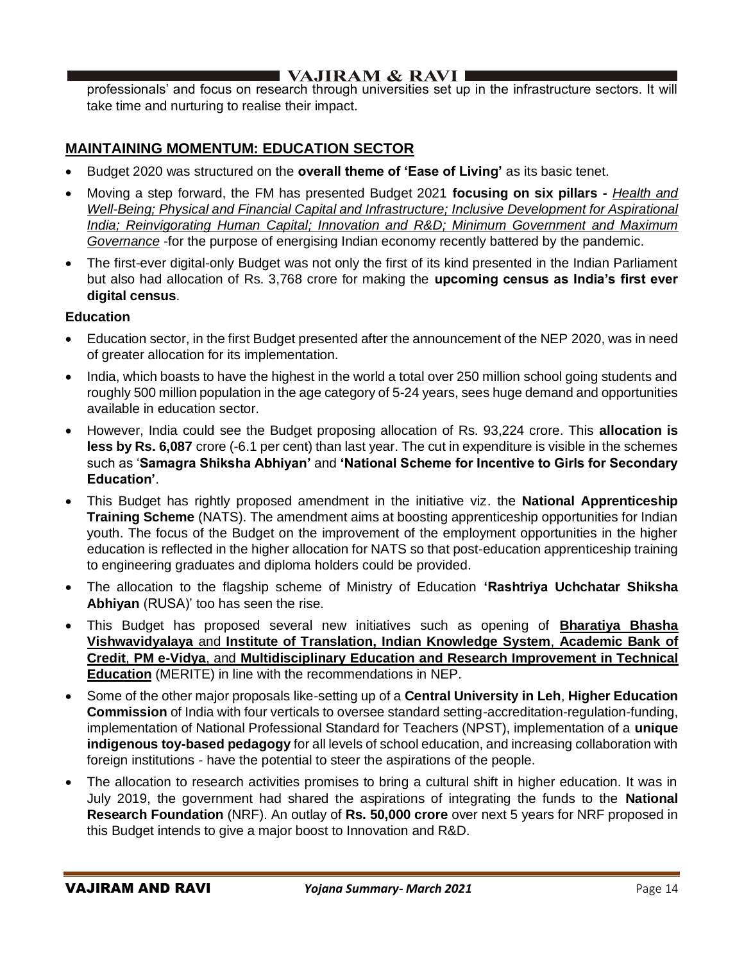professionals' and focus on research through universities set up in the infrastructure sectors. It will take time and nurturing to realise their impact.

## **MAINTAINING MOMENTUM: EDUCATION SECTOR**

- Budget 2020 was structured on the **overall theme of 'Ease of Living'** as its basic tenet.
- Moving a step forward, the FM has presented Budget 2021 **focusing on six pillars -** *Health and Well-Being; Physical and Financial Capital and Infrastructure; Inclusive Development for Aspirational India; Reinvigorating Human Capital; Innovation and R&D; Minimum Government and Maximum Governance* -for the purpose of energising Indian economy recently battered by the pandemic.
- The first-ever digital-only Budget was not only the first of its kind presented in the Indian Parliament but also had allocation of Rs. 3,768 crore for making the **upcoming census as India's first ever digital census**.

#### **Education**

- Education sector, in the first Budget presented after the announcement of the NEP 2020, was in need of greater allocation for its implementation.
- India, which boasts to have the highest in the world a total over 250 million school going students and roughly 500 million population in the age category of 5-24 years, sees huge demand and opportunities available in education sector.
- However, India could see the Budget proposing allocation of Rs. 93,224 crore. This **allocation is less by Rs. 6,087** crore (-6.1 per cent) than last year. The cut in expenditure is visible in the schemes such as '**Samagra Shiksha Abhiyan'** and **'National Scheme for Incentive to Girls for Secondary Education'**.
- This Budget has rightly proposed amendment in the initiative viz. the **National Apprenticeship Training Scheme** (NATS). The amendment aims at boosting apprenticeship opportunities for Indian youth. The focus of the Budget on the improvement of the employment opportunities in the higher education is reflected in the higher allocation for NATS so that post-education apprenticeship training to engineering graduates and diploma holders could be provided.
- The allocation to the flagship scheme of Ministry of Education **'Rashtriya Uchchatar Shiksha Abhiyan** (RUSA)' too has seen the rise.
- This Budget has proposed several new initiatives such as opening of **Bharatiya Bhasha Vishwavidyalaya** and **Institute of Translation, Indian Knowledge System**, **Academic Bank of Credit**, **PM e-Vidya**, and **Multidisciplinary Education and Research Improvement in Technical Education** (MERITE) in line with the recommendations in NEP.
- Some of the other major proposals like-setting up of a **Central University in Leh**, **Higher Education Commission** of India with four verticals to oversee standard setting-accreditation-regulation-funding, implementation of National Professional Standard for Teachers (NPST), implementation of a **unique indigenous toy-based pedagogy** for all levels of school education, and increasing collaboration with foreign institutions - have the potential to steer the aspirations of the people.
- The allocation to research activities promises to bring a cultural shift in higher education. It was in July 2019, the government had shared the aspirations of integrating the funds to the **National Research Foundation** (NRF). An outlay of **Rs. 50,000 crore** over next 5 years for NRF proposed in this Budget intends to give a major boost to Innovation and R&D.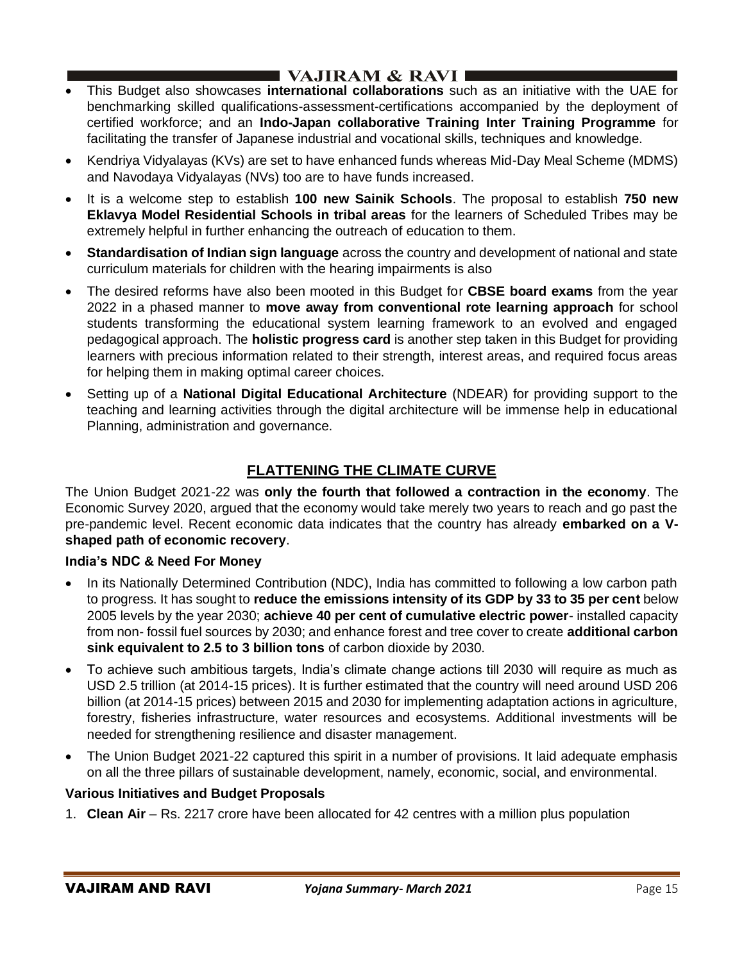- This Budget also showcases **international collaborations** such as an initiative with the UAE for benchmarking skilled qualifications-assessment-certifications accompanied by the deployment of certified workforce; and an **Indo-Japan collaborative Training Inter Training Programme** for facilitating the transfer of Japanese industrial and vocational skills, techniques and knowledge.
- Kendriya Vidyalayas (KVs) are set to have enhanced funds whereas Mid-Day Meal Scheme (MDMS) and Navodaya Vidyalayas (NVs) too are to have funds increased.
- It is a welcome step to establish **100 new Sainik Schools**. The proposal to establish **750 new Eklavya Model Residential Schools in tribal areas** for the learners of Scheduled Tribes may be extremely helpful in further enhancing the outreach of education to them.
- **Standardisation of Indian sign language** across the country and development of national and state curriculum materials for children with the hearing impairments is also
- The desired reforms have also been mooted in this Budget for **CBSE board exams** from the year 2022 in a phased manner to **move away from conventional rote learning approach** for school students transforming the educational system learning framework to an evolved and engaged pedagogical approach. The **holistic progress card** is another step taken in this Budget for providing learners with precious information related to their strength, interest areas, and required focus areas for helping them in making optimal career choices.
- Setting up of a **National Digital Educational Architecture** (NDEAR) for providing support to the teaching and learning activities through the digital architecture will be immense help in educational Planning, administration and governance.

# **FLATTENING THE CLIMATE CURVE**

The Union Budget 2021-22 was **only the fourth that followed a contraction in the economy**. The Economic Survey 2020, argued that the economy would take merely two years to reach and go past the pre-pandemic level. Recent economic data indicates that the country has already **embarked on a Vshaped path of economic recovery**.

## **India's NDC & Need For Money**

- In its Nationally Determined Contribution (NDC), India has committed to following a low carbon path to progress. It has sought to **reduce the emissions intensity of its GDP by 33 to 35 per cent** below 2005 levels by the year 2030; **achieve 40 per cent of cumulative electric power**- installed capacity from non- fossil fuel sources by 2030; and enhance forest and tree cover to create **additional carbon sink equivalent to 2.5 to 3 billion tons** of carbon dioxide by 2030.
- To achieve such ambitious targets, India's climate change actions till 2030 will require as much as USD 2.5 trillion (at 2014-15 prices). It is further estimated that the country will need around USD 206 billion (at 2014-15 prices) between 2015 and 2030 for implementing adaptation actions in agriculture, forestry, fisheries infrastructure, water resources and ecosystems. Additional investments will be needed for strengthening resilience and disaster management.
- The Union Budget 2021-22 captured this spirit in a number of provisions. It laid adequate emphasis on all the three pillars of sustainable development, namely, economic, social, and environmental.

### **Various Initiatives and Budget Proposals**

1. **Clean Air** – Rs. 2217 crore have been allocated for 42 centres with a million plus population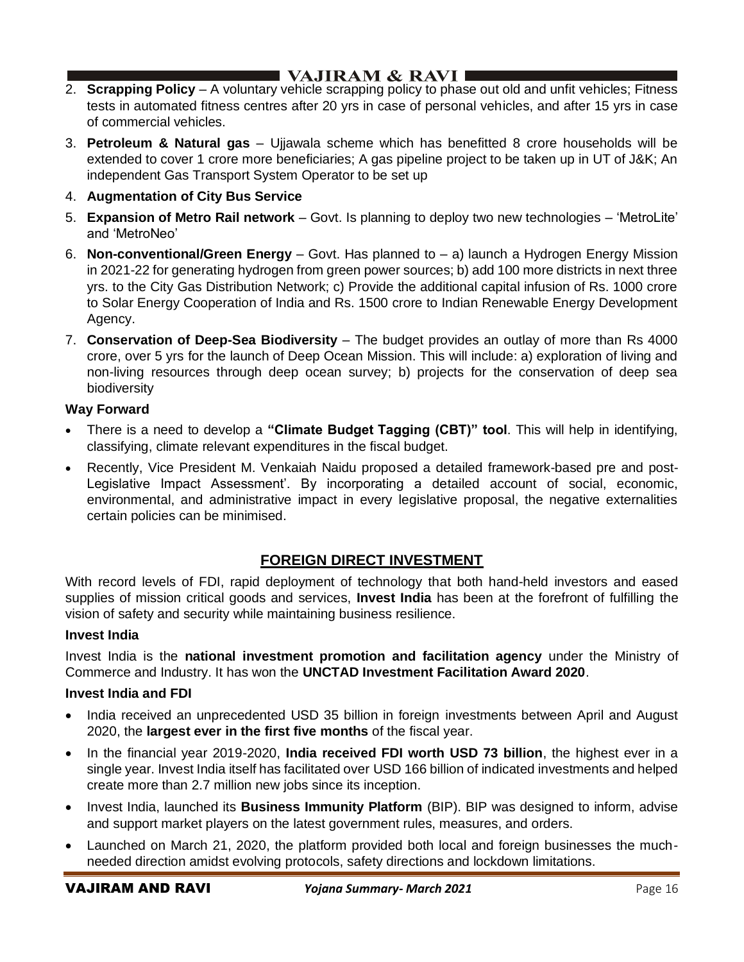## **I** VAJIRAM & RAVI **E**

- 2. **Scrapping Policy** A voluntary vehicle scrapping policy to phase out old and unfit vehicles; Fitness tests in automated fitness centres after 20 yrs in case of personal vehicles, and after 15 yrs in case of commercial vehicles.
- 3. **Petroleum & Natural gas**  Ujjawala scheme which has benefitted 8 crore households will be extended to cover 1 crore more beneficiaries; A gas pipeline project to be taken up in UT of J&K; An independent Gas Transport System Operator to be set up

### 4. **Augmentation of City Bus Service**

- 5. **Expansion of Metro Rail network** Govt. Is planning to deploy two new technologies 'MetroLite' and 'MetroNeo'
- 6. **Non-conventional/Green Energy** Govt. Has planned to a) launch a Hydrogen Energy Mission in 2021-22 for generating hydrogen from green power sources; b) add 100 more districts in next three yrs. to the City Gas Distribution Network; c) Provide the additional capital infusion of Rs. 1000 crore to Solar Energy Cooperation of India and Rs. 1500 crore to Indian Renewable Energy Development Agency.
- 7. **Conservation of Deep-Sea Biodiversity** The budget provides an outlay of more than Rs 4000 crore, over 5 yrs for the launch of Deep Ocean Mission. This will include: a) exploration of living and non-living resources through deep ocean survey; b) projects for the conservation of deep sea biodiversity

### **Way Forward**

- There is a need to develop a **"Climate Budget Tagging (CBT)" tool**. This will help in identifying, classifying, climate relevant expenditures in the fiscal budget.
- Recently, Vice President M. Venkaiah Naidu proposed a detailed framework-based pre and post-Legislative Impact Assessment'. By incorporating a detailed account of social, economic, environmental, and administrative impact in every legislative proposal, the negative externalities certain policies can be minimised.

## **FOREIGN DIRECT INVESTMENT**

With record levels of FDI, rapid deployment of technology that both hand-held investors and eased supplies of mission critical goods and services, **Invest India** has been at the forefront of fulfilling the vision of safety and security while maintaining business resilience.

### **Invest India**

Invest India is the **national investment promotion and facilitation agency** under the Ministry of Commerce and Industry. It has won the **UNCTAD Investment Facilitation Award 2020**.

#### **Invest India and FDI**

- India received an unprecedented USD 35 billion in foreign investments between April and August 2020, the **largest ever in the first five months** of the fiscal year.
- In the financial year 2019-2020, **India received FDI worth USD 73 billion**, the highest ever in a single year. Invest India itself has facilitated over USD 166 billion of indicated investments and helped create more than 2.7 million new jobs since its inception.
- Invest India, launched its **Business Immunity Platform** (BIP). BIP was designed to inform, advise and support market players on the latest government rules, measures, and orders.
- Launched on March 21, 2020, the platform provided both local and foreign businesses the muchneeded direction amidst evolving protocols, safety directions and lockdown limitations.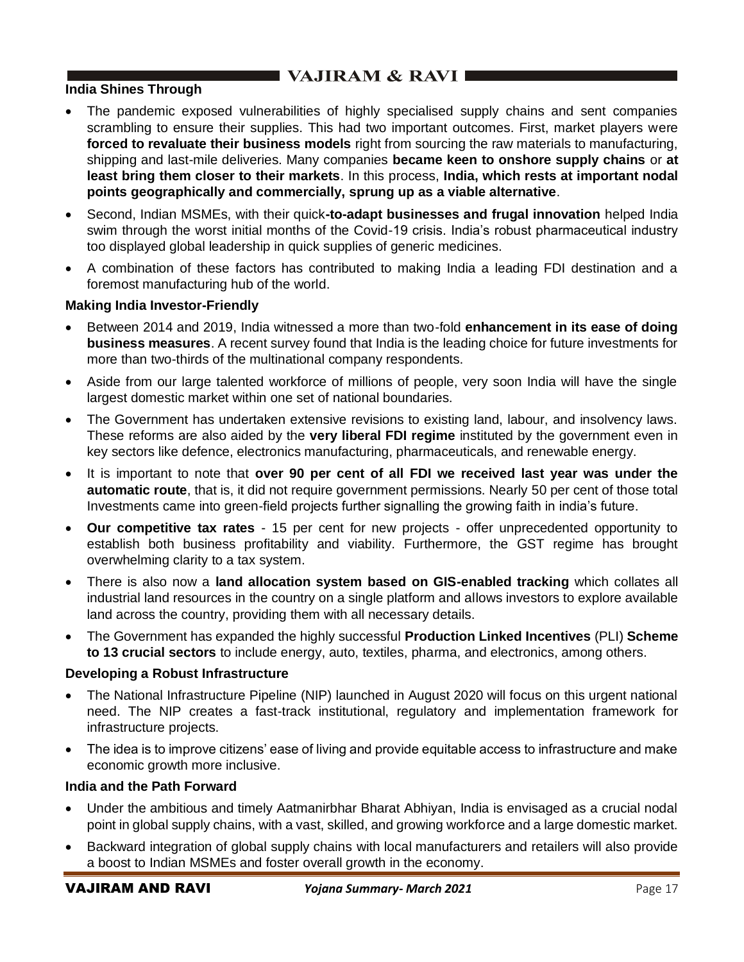# **THE VAJIRAM & RAVI LET**

## **India Shines Through**

- The pandemic exposed vulnerabilities of highly specialised supply chains and sent companies scrambling to ensure their supplies. This had two important outcomes. First, market players were **forced to revaluate their business models** right from sourcing the raw materials to manufacturing, shipping and last-mile deliveries. Many companies **became keen to onshore supply chains** or **at least bring them closer to their markets**. In this process, **India, which rests at important nodal points geographically and commercially, sprung up as a viable alternative**.
- Second, Indian MSMEs, with their quick**-to-adapt businesses and frugal innovation** helped India swim through the worst initial months of the Covid-19 crisis. India's robust pharmaceutical industry too displayed global leadership in quick supplies of generic medicines.
- A combination of these factors has contributed to making India a leading FDI destination and a foremost manufacturing hub of the world.

### **Making India Investor-Friendly**

- Between 2014 and 2019, India witnessed a more than two-fold **enhancement in its ease of doing business measures**. A recent survey found that India is the leading choice for future investments for more than two-thirds of the multinational company respondents.
- Aside from our large talented workforce of millions of people, very soon India will have the single largest domestic market within one set of national boundaries.
- The Government has undertaken extensive revisions to existing land, labour, and insolvency laws. These reforms are also aided by the **very liberal FDI regime** instituted by the government even in key sectors like defence, electronics manufacturing, pharmaceuticals, and renewable energy.
- It is important to note that **over 90 per cent of all FDI we received last year was under the automatic route**, that is, it did not require government permissions. Nearly 50 per cent of those total Investments came into green-field projects further signalling the growing faith in india's future.
- **Our competitive tax rates** 15 per cent for new projects offer unprecedented opportunity to establish both business profitability and viability. Furthermore, the GST regime has brought overwhelming clarity to a tax system.
- There is also now a **land allocation system based on GIS-enabled tracking** which collates all industrial land resources in the country on a single platform and allows investors to explore available land across the country, providing them with all necessary details.
- The Government has expanded the highly successful **Production Linked Incentives** (PLI) **Scheme to 13 crucial sectors** to include energy, auto, textiles, pharma, and electronics, among others.

### **Developing a Robust Infrastructure**

- The National Infrastructure Pipeline (NIP) launched in August 2020 will focus on this urgent national need. The NIP creates a fast-track institutional, regulatory and implementation framework for infrastructure projects.
- The idea is to improve citizens' ease of living and provide equitable access to infrastructure and make economic growth more inclusive.

### **India and the Path Forward**

- Under the ambitious and timely Aatmanirbhar Bharat Abhiyan, India is envisaged as a crucial nodal point in global supply chains, with a vast, skilled, and growing workforce and a large domestic market.
- Backward integration of global supply chains with local manufacturers and retailers will also provide a boost to Indian MSMEs and foster overall growth in the economy.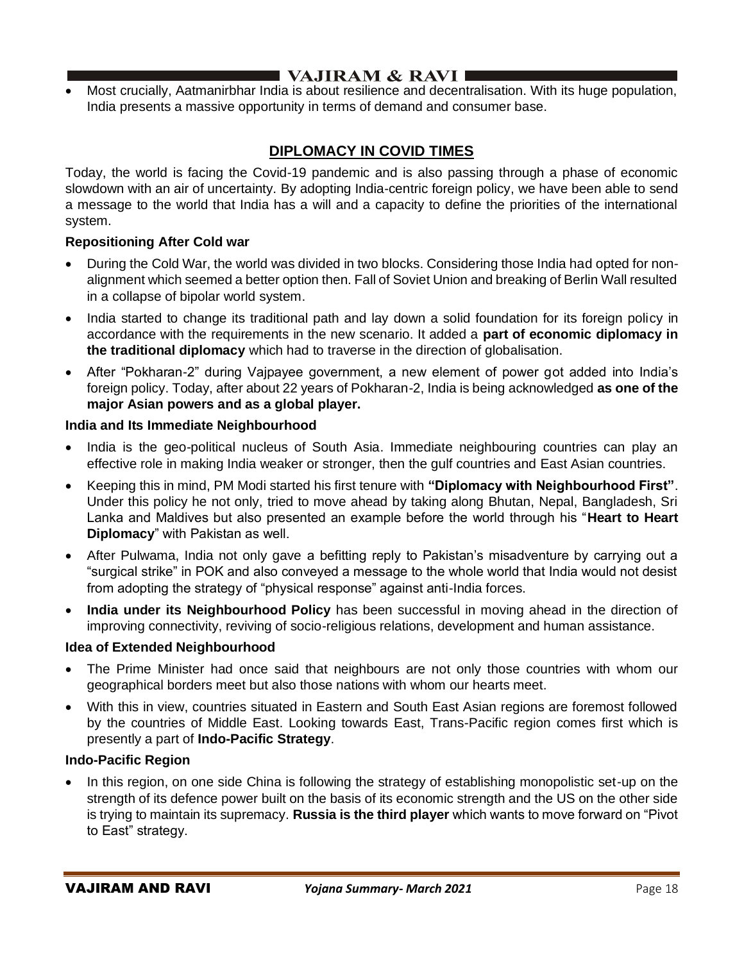# I VAJIRAM  $\&$  RAVI  $\blacksquare$

• Most crucially, Aatmanirbhar India is about resilience and decentralisation. With its huge population, India presents a massive opportunity in terms of demand and consumer base.

# **DIPLOMACY IN COVID TIMES**

Today, the world is facing the Covid-19 pandemic and is also passing through a phase of economic slowdown with an air of uncertainty. By adopting India-centric foreign policy, we have been able to send a message to the world that India has a will and a capacity to define the priorities of the international system.

### **Repositioning After Cold war**

- During the Cold War, the world was divided in two blocks. Considering those India had opted for nonalignment which seemed a better option then. Fall of Soviet Union and breaking of Berlin Wall resulted in a collapse of bipolar world system.
- India started to change its traditional path and lay down a solid foundation for its foreign policy in accordance with the requirements in the new scenario. It added a **part of economic diplomacy in the traditional diplomacy** which had to traverse in the direction of globalisation.
- After "Pokharan-2" during Vajpayee government, a new element of power got added into India's foreign policy. Today, after about 22 years of Pokharan-2, India is being acknowledged **as one of the major Asian powers and as a global player.**

### **India and Its Immediate Neighbourhood**

- India is the geo-political nucleus of South Asia. Immediate neighbouring countries can play an effective role in making India weaker or stronger, then the gulf countries and East Asian countries.
- Keeping this in mind, PM Modi started his first tenure with **"Diplomacy with Neighbourhood First"**. Under this policy he not only, tried to move ahead by taking along Bhutan, Nepal, Bangladesh, Sri Lanka and Maldives but also presented an example before the world through his "**Heart to Heart Diplomacy**" with Pakistan as well.
- After Pulwama, India not only gave a befitting reply to Pakistan's misadventure by carrying out a "surgical strike" in POK and also conveyed a message to the whole world that India would not desist from adopting the strategy of "physical response" against anti-India forces.
- **India under its Neighbourhood Policy** has been successful in moving ahead in the direction of improving connectivity, reviving of socio-religious relations, development and human assistance.

### **Idea of Extended Neighbourhood**

- The Prime Minister had once said that neighbours are not only those countries with whom our geographical borders meet but also those nations with whom our hearts meet.
- With this in view, countries situated in Eastern and South East Asian regions are foremost followed by the countries of Middle East. Looking towards East, Trans-Pacific region comes first which is presently a part of **Indo-Pacific Strategy**.

### **Indo-Pacific Region**

• In this region, on one side China is following the strategy of establishing monopolistic set-up on the strength of its defence power built on the basis of its economic strength and the US on the other side is trying to maintain its supremacy. **Russia is the third player** which wants to move forward on "Pivot to East" strategy.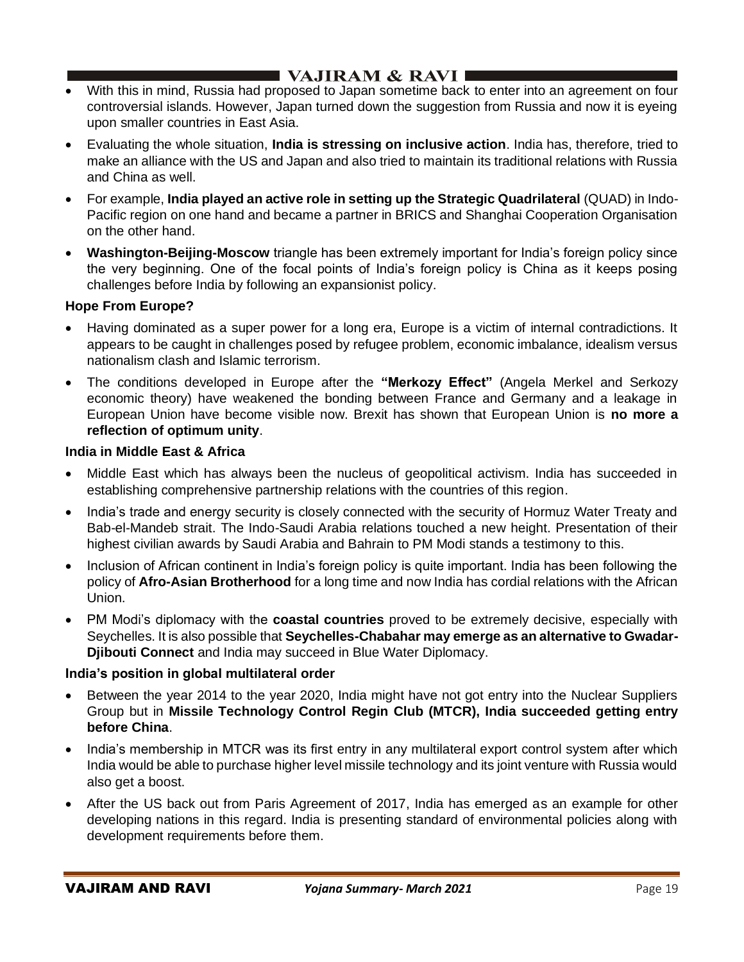# **I** VAJIRAM & RAVI  $\blacksquare$

- With this in mind, Russia had proposed to Japan sometime back to enter into an agreement on four controversial islands. However, Japan turned down the suggestion from Russia and now it is eyeing upon smaller countries in East Asia.
- Evaluating the whole situation, **India is stressing on inclusive action**. India has, therefore, tried to make an alliance with the US and Japan and also tried to maintain its traditional relations with Russia and China as well.
- For example, **India played an active role in setting up the Strategic Quadrilateral** (QUAD) in Indo-Pacific region on one hand and became a partner in BRICS and Shanghai Cooperation Organisation on the other hand.
- **Washington-Beijing-Moscow** triangle has been extremely important for India's foreign policy since the very beginning. One of the focal points of India's foreign policy is China as it keeps posing challenges before India by following an expansionist policy.

### **Hope From Europe?**

- Having dominated as a super power for a long era, Europe is a victim of internal contradictions. It appears to be caught in challenges posed by refugee problem, economic imbalance, idealism versus nationalism clash and Islamic terrorism.
- The conditions developed in Europe after the **"Merkozy Effect"** (Angela Merkel and Serkozy economic theory) have weakened the bonding between France and Germany and a leakage in European Union have become visible now. Brexit has shown that European Union is **no more a reflection of optimum unity**.

#### **India in Middle East & Africa**

- Middle East which has always been the nucleus of geopolitical activism. India has succeeded in establishing comprehensive partnership relations with the countries of this region.
- India's trade and energy security is closely connected with the security of Hormuz Water Treaty and Bab-el-Mandeb strait. The Indo-Saudi Arabia relations touched a new height. Presentation of their highest civilian awards by Saudi Arabia and Bahrain to PM Modi stands a testimony to this.
- Inclusion of African continent in India's foreign policy is quite important. India has been following the policy of **Afro-Asian Brotherhood** for a long time and now India has cordial relations with the African Union.
- PM Modi's diplomacy with the **coastal countries** proved to be extremely decisive, especially with Seychelles. It is also possible that **Seychelles-Chabahar may emerge as an alternative to Gwadar-Djibouti Connect** and India may succeed in Blue Water Diplomacy.

### **India's position in global multilateral order**

- Between the year 2014 to the year 2020, India might have not got entry into the Nuclear Suppliers Group but in **Missile Technology Control Regin Club (MTCR), India succeeded getting entry before China**.
- India's membership in MTCR was its first entry in any multilateral export control system after which India would be able to purchase higher level missile technology and its joint venture with Russia would also get a boost.
- After the US back out from Paris Agreement of 2017, India has emerged as an example for other developing nations in this regard. India is presenting standard of environmental policies along with development requirements before them.